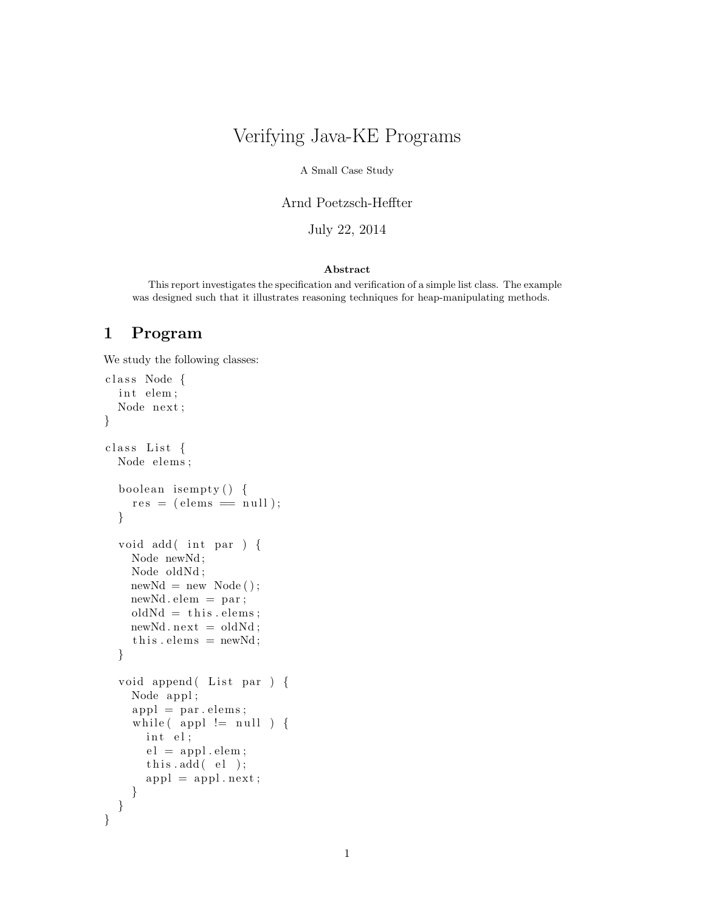# Verifying Java-KE Programs

A Small Case Study

Arnd Poetzsch-Heffter

July 22, 2014

#### Abstract

This report investigates the specification and verification of a simple list class. The example was designed such that it illustrates reasoning techniques for heap-manipulating methods.

## 1 Program

We study the following classes:

```
class Node {
  int elem;
  Node next;
}
class List {
  Node elems;
  boolean isempty() {
    res = (elements == null);}
  void add (int par ) {
    Node newNd ;
    Node oldNd ;
    newNd = new Node();newNd . elem = par ;
    oldNd = this.\,elements;newNd.next = oldNd;this \text{.} \text{elements} = \text{newNd};
  }
  void append (List par ) {
    Node appl ;
    appl = par. elements;while (\text{appl} != null) {
       int el;
       el = appl. elem;
       this.add(el);appl = appl.next;}
 }
}
```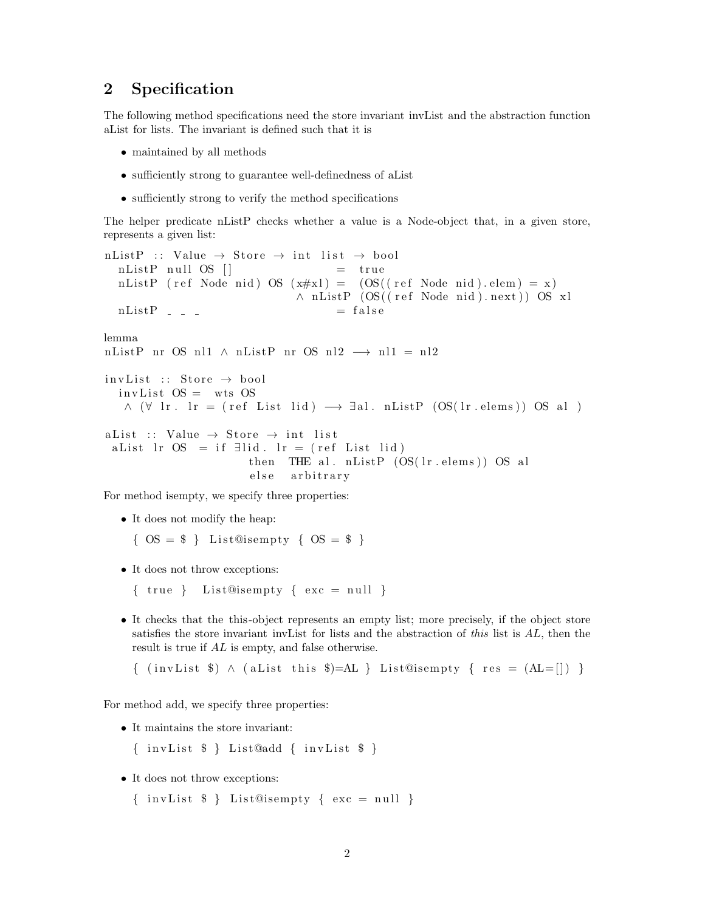#### 2 Specification

The following method specifications need the store invariant invList and the abstraction function aList for lists. The invariant is defined such that it is

- maintained by all methods
- sufficiently strong to guarantee well-definedness of aList
- sufficiently strong to verify the method specifications

The helper predicate nListP checks whether a value is a Node-object that, in a given store, represents a given list:

```
nListP :: Value \rightarrow Store \rightarrow int list \rightarrow bool
  nListP null OS | = true
  nListP (ref Node nid) OS (x \# x) = (OS((ref Node mid).elem) = x)∧ nListP (OS((ref Node nid).next)) OS xl
  nListP = - = falselemma
nListP nr OS nl1 ∧ nListP nr OS nl2 \rightarrow nl1 = nl2
invList :: Store \rightarrow boolinvList OS = wts OS
   \wedge (\forall lr . lr = (ref List lid) \rightarrow \existsal. nListP (OS(lr. elems)) OS al )
a List :: Value \rightarrow Store \rightarrow int list
 a List lr OS = if ∃lid. lr = (ref List lid)
                        then THE al. nListP (OS(1r \cdot \text{elements})) OS al
                        else arbitrary
```
For method isempty, we specify three properties:

- It does not modify the heap:
	- $\{OS = \$\}$  List@isempty  $\{OS = \$\}$
- It does not throw exceptions:
	- $\{ true \}$  List@isempty  $\{ exc = null \}$
- It checks that the this-object represents an empty list; more precisely, if the object store satisfies the store invariant invList for lists and the abstraction of this list is AL, then the result is true if AL is empty, and false otherwise.

```
\{ (invList $) \land (aList this $)=AL } List@isempty { res = (AL=[]) }
```
For method add, we specify three properties:

• It maintains the store invariant:

 ${ \{ \text{ invList \$ } \} \text{ List}\$   ${ \# \}$   $\{ \text{ invList \$ } \}$ 

- It does not throw exceptions:
	- $\{invList \$ \} List@isempty  $\{exc = null\}$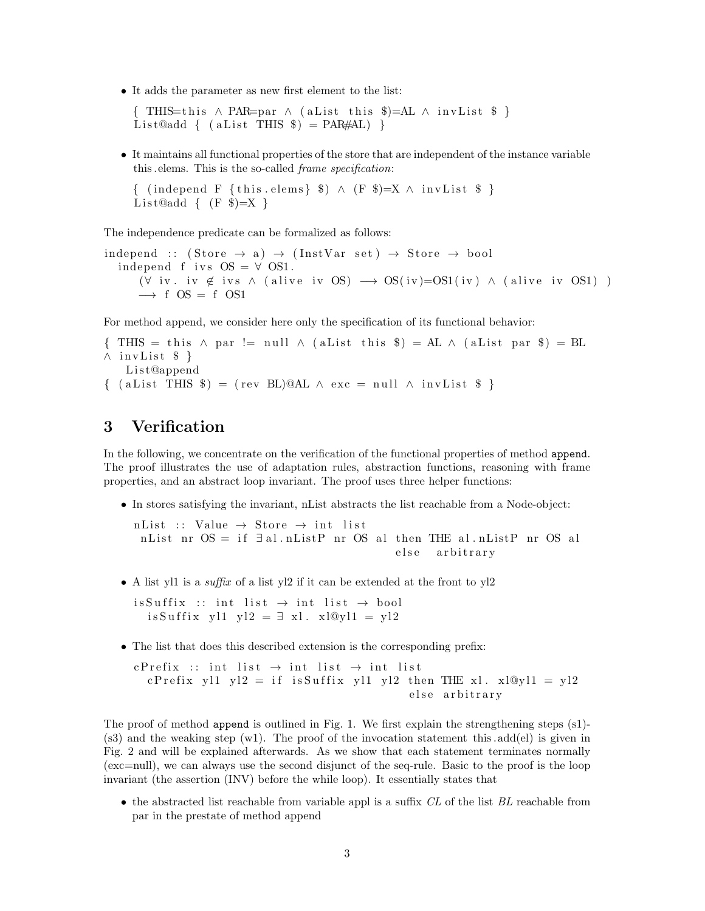• It adds the parameter as new first element to the list:

 $\{$  THIS=this  $\land$  PAR=par  $\land$  (aList this \$)=AL  $\land$  invList \$ } List@add { (aList THIS  $\hat{\mathcal{S}}$ ) = PAR#AL) }

• It maintains all functional properties of the store that are independent of the instance variable this .elems. This is the so-called frame specification:

{ (independ F {this elems} \$)  $\land$  (F \$)=X  $\land$  invList \$ } List $\text{Qadd} \{ (F \$ 

The independence predicate can be formalized as follows:

independ ::  $(\text{Store} \rightarrow \text{a}) \rightarrow (\text{InstVar} \text{ set}) \rightarrow \text{Store} \rightarrow \text{bool}$ independ f ivs  $OS = \forall OS1$ .  $(\forall$  iv. iv  $\notin$  ivs  $\land$  (alive iv OS)  $\longrightarrow$  OS(iv)=OS1(iv)  $\land$  (alive iv OS1))  $\rightarrow$  f OS = f OS1

For method append, we consider here only the specification of its functional behavior:

```
\{ THIS = this \land par != null \land (aList this $) = AL \land (aList par $) = BL
\wedge invList $ }
   List@append
\{ (aList THIS $) = (rev BL)@AL \land exc = null \land invList $ }
```
## 3 Verification

In the following, we concentrate on the verification of the functional properties of method append. The proof illustrates the use of adaptation rules, abstraction functions, reasoning with frame properties, and an abstract loop invariant. The proof uses three helper functions:

• In stores satisfying the invariant, nList abstracts the list reachable from a Node-object:

n List :: Value  $\rightarrow$  Store  $\rightarrow$  int list nList nr OS = if  $\exists$  al.nListP nr OS al then THE al.nListP nr OS al else arbitrary

• A list yl1 is a *suffix* of a list yl2 if it can be extended at the front to yl2

 $is Suffix :: int list \rightarrow int list \rightarrow bool$ is Suffix yl1 yl2 =  $\exists$  xl. xl@yl1 = yl2

• The list that does this described extension is the corresponding prefix:

c P r e fix :: int list  $\rightarrow$  int list  $\rightarrow$  int list c P r e fix yl 1 yl 2 = if is Suffix yl 1 yl 2 then THE xl. xl@yl1 = yl 2 else arbitrary

The proof of method append is outlined in Fig. 1. We first explain the strengthening steps (s1)-  $(s3)$  and the weaking step  $(w1)$ . The proof of the invocation statement this add(el) is given in Fig. 2 and will be explained afterwards. As we show that each statement terminates normally (exc=null), we can always use the second disjunct of the seq-rule. Basic to the proof is the loop invariant (the assertion (INV) before the while loop). It essentially states that

 $\bullet$  the abstracted list reachable from variable appl is a suffix CL of the list BL reachable from par in the prestate of method append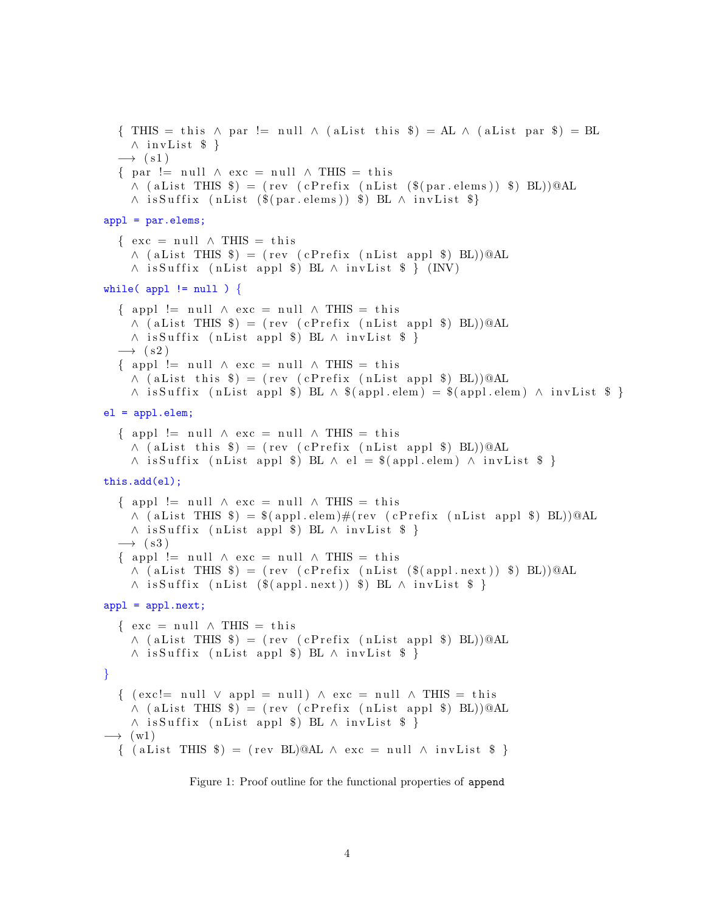```
\{ THIS = this \land par != null \land (aList this $) = AL \land (aList par $) = BL
    \land invList $ }
  \rightarrow (s1)
  \{ par != null \land exc = null \land THIS = this
    \wedge (aList THIS $) = (rev (cPrefix (nList ($(par.elems)) $) BL))@AL
    \wedge is Suffix (nList ($(par. elems)) $) BL \wedge invList $}
appl = par.elems;
  \{ \text{exc} = \text{null} \wedge \text{THIS} = \text{this} \}\wedge (aList THIS $) = (rev (cPrefix (nList appl $) BL))@AL
    \land is Suffix (nList appl $) BL \land invList $ } (INV)
while( appl != null ) {
  \{ appl != null \land exc = null \land THIS = this
    \wedge (aList THIS $) = (rev (cPrefix (nList appl $) BL))@AL
    \land is Suffix (nList appl $) BL \land invList $ }
  \rightarrow (s2)
  \{ appl != null \land exc = null \land THIS = this
    \wedge (aList this $) = (rev (cPrefix (nList appl $) BL))@AL
    \land is Suffix (nList appl $) BL \land $ (appl.elem) = $ (appl.elem) \land invList $ }
el = appl.elem;
  \{ appl != null \land exc = null \land THIS = this
    \wedge (aList this $) = (rev (cPrefix (nList appl $) BL))@AL
    \land is Suffix (nList appl $) BL \land el = $ (appl. elem) \land invList $ }
this.add(el);
  \{ appl != null \land exc = null \land THIS = this
    \wedge (aList THIS $) = $ (appl.elem)#(rev (cPrefix (nList appl $) BL))@AL
    \land is Suffix (nList appl $) BL \land invList $ }
  \rightarrow (s3)
  \{ appl != null \land exc = null \land THIS = this
    \wedge (aList THIS $) = (rev (cPrefix (nList ($(appl.next)) $) BL))@AL
    \land is Suffix (nList ($(appl.next)) $) BL \land invList $ }
app1 = app1.next;\{ \text{exc} = \text{null} \land \text{THIS} = \text{this} \}\wedge (aList THIS $) = (rev (cPrefix (nList appl $) BL))@AL
    \land is Suffix (nList appl $) BL \land invList $ }
}
  \{ ( exc! = null \vee appl = null) \wedge exc = null \wedge THIS = this
    \wedge (aList THIS $) = (rev (cPrefix (nList appl $) BL))@AL
    \land is Suffix (nList appl $) BL \land invList $ }
\longrightarrow (w1)
  \{ (aList THIS $) = (rev BL)@AL \land exc = null \land invList $ }
```
Figure 1: Proof outline for the functional properties of append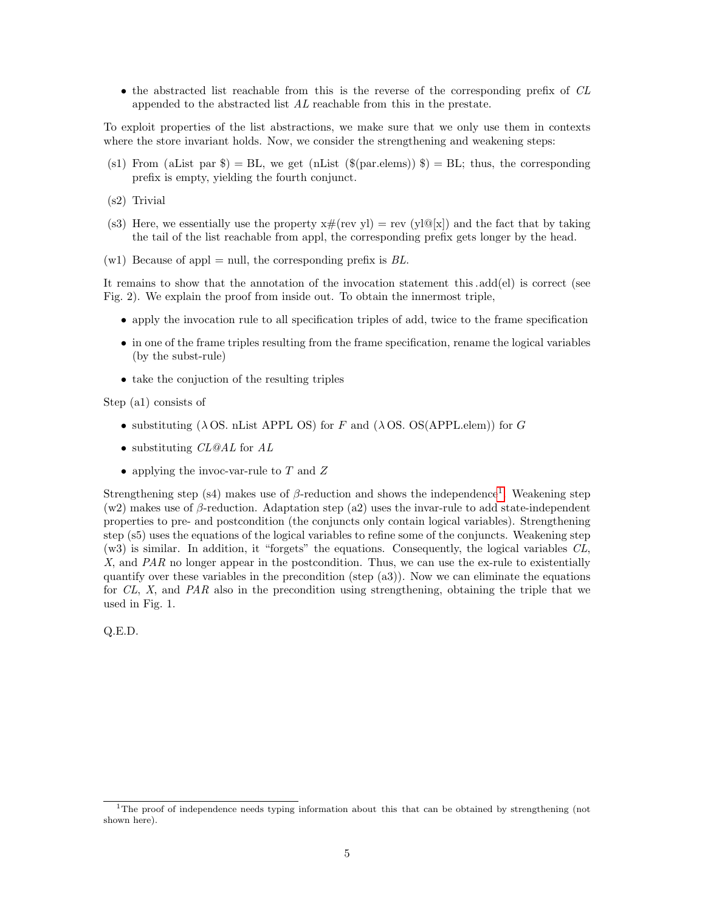• the abstracted list reachable from this is the reverse of the corresponding prefix of CL appended to the abstracted list AL reachable from this in the prestate.

To exploit properties of the list abstractions, we make sure that we only use them in contexts where the store invariant holds. Now, we consider the strengthening and weakening steps:

- (s1) From (aList par  $\hat{\mathcal{S}}$ ) = BL, we get (nList ( $\hat{\mathcal{S}}$ (par.elems))  $\hat{\mathcal{S}}$ ) = BL; thus, the corresponding prefix is empty, yielding the fourth conjunct.
- (s2) Trivial
- (s3) Here, we essentially use the property  $x \# (rev \, vl) = rev (vl@[x])$  and the fact that by taking the tail of the list reachable from appl, the corresponding prefix gets longer by the head.
- $(w1)$  Because of appl = null, the corresponding prefix is BL.

It remains to show that the annotation of the invocation statement this .add(el) is correct (see Fig. 2). We explain the proof from inside out. To obtain the innermost triple,

- apply the invocation rule to all specification triples of add, twice to the frame specification
- in one of the frame triples resulting from the frame specification, rename the logical variables (by the subst-rule)
- take the conjuction of the resulting triples

Step (a1) consists of

- substituting ( $\lambda$  OS. nList APPL OS) for F and ( $\lambda$  OS. OS(APPL.elem)) for G
- substituting *CL@AL* for *AL*
- applying the invoc-var-rule to  $T$  and  $Z$

Strengthening step (s4) makes use of  $\beta$ -reduction and shows the independence<sup>[1](#page-4-0)</sup>. Weakening step (w2) makes use of  $\beta$ -reduction. Adaptation step (a2) uses the invar-rule to add state-independent properties to pre- and postcondition (the conjuncts only contain logical variables). Strengthening step (s5) uses the equations of the logical variables to refine some of the conjuncts. Weakening step (w3) is similar. In addition, it "forgets" the equations. Consequently, the logical variables CL,  $X$ , and  $PAR$  no longer appear in the postcondition. Thus, we can use the ex-rule to existentially quantify over these variables in the precondition (step (a3)). Now we can eliminate the equations for  $CL$ , X, and  $PAR$  also in the precondition using strengthening, obtaining the triple that we used in Fig. 1.

Q.E.D.

<span id="page-4-0"></span><sup>&</sup>lt;sup>1</sup>The proof of independence needs typing information about this that can be obtained by strengthening (not shown here).